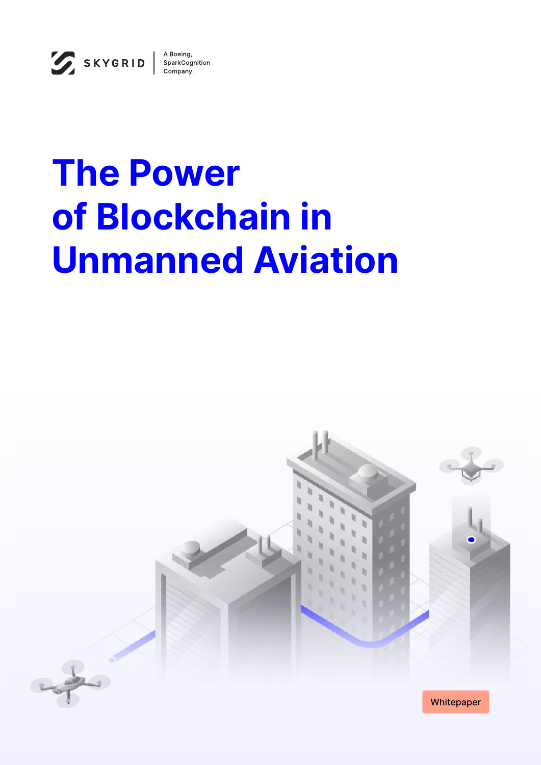

# **The Power of Blockchain in Unmanned Aviation**

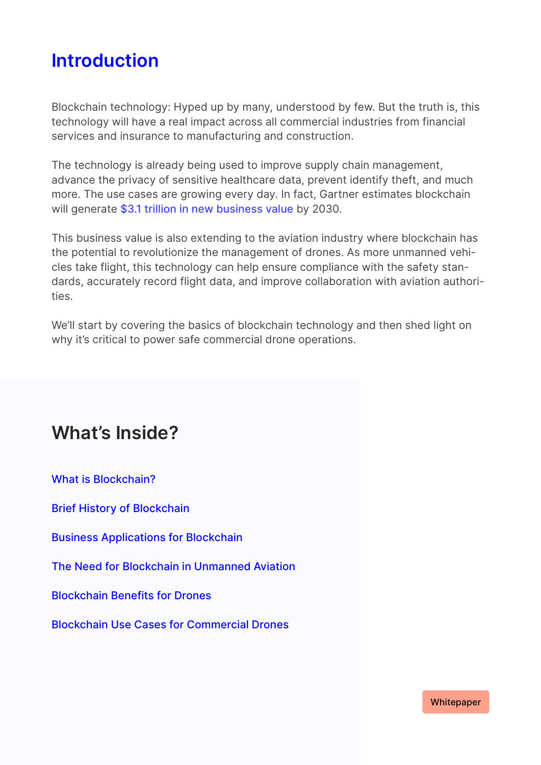### **Introduction**

Blockchain technology: Hyped up by many, understood by few. But the truth is, this technology will have a real impact across all commercial industries from financial services and insurance to manufacturing and construction.

The technology is already being used to improve supply chain management, advance the privacy of sensitive healthcare data, prevent identify theft, and much more. The use cases are growing every day. In fact, Gartner estimates blockchain will generate [\\$3.1 trillion in new business value](https://www.gartner.com/smarterwithgartner/the-cios-guide-to-blockchain/) by 2030.

This business value is also extending to the aviation industry where blockchain has the potential to revolutionize the management of drones. As more unmanned vehicles take flight, this technology can help ensure compliance with the safety standards, accurately record flight data, and improve collaboration with aviation authorities.

We'll start by covering the basics of blockchain technology and then shed light on why it's critical to power safe commercial drone operations.

### **What's Inside?**

What is Blockchain?

Brief History of Blockchain

Business Applications for Blockchain

The Need for Blockchain in Unmanned Aviation

Blockchain Benefits for Drones

Blockchain Use Cases for Commercial Drones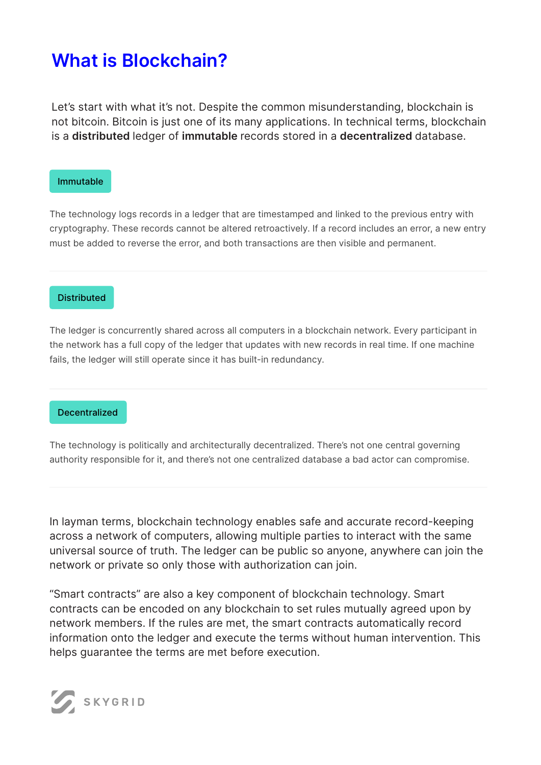### **What is Blockchain?**

Let's start with what it's not. Despite the common misunderstanding, blockchain is not bitcoin. Bitcoin is just one of its many applications. In technical terms, blockchain is a **distributed** ledger of **immutable** records stored in a **decentralized** database.

#### Immutable

The technology logs records in a ledger that are timestamped and linked to the previous entry with cryptography. These records cannot be altered retroactively. If a record includes an error, a new entry must be added to reverse the error, and both transactions are then visible and permanent.

#### **Distributed**

The ledger is concurrently shared across all computers in a blockchain network. Every participant in the network has a full copy of the ledger that updates with new records in real time. If one machine fails, the ledger will still operate since it has built-in redundancy.

#### **Decentralized**

The technology is politically and architecturally decentralized. There's not one central governing authority responsible for it, and there's not one centralized database a bad actor can compromise.

In layman terms, blockchain technology enables safe and accurate record-keeping across a network of computers, allowing multiple parties to interact with the same universal source of truth. The ledger can be public so anyone, anywhere can join the network or private so only those with authorization can join.

"Smart contracts" are also a key component of blockchain technology. Smart contracts can be encoded on any blockchain to set rules mutually agreed upon by network members. If the rules are met, the smart contracts automatically record information onto the ledger and execute the terms without human intervention. This helps guarantee the terms are met before execution.

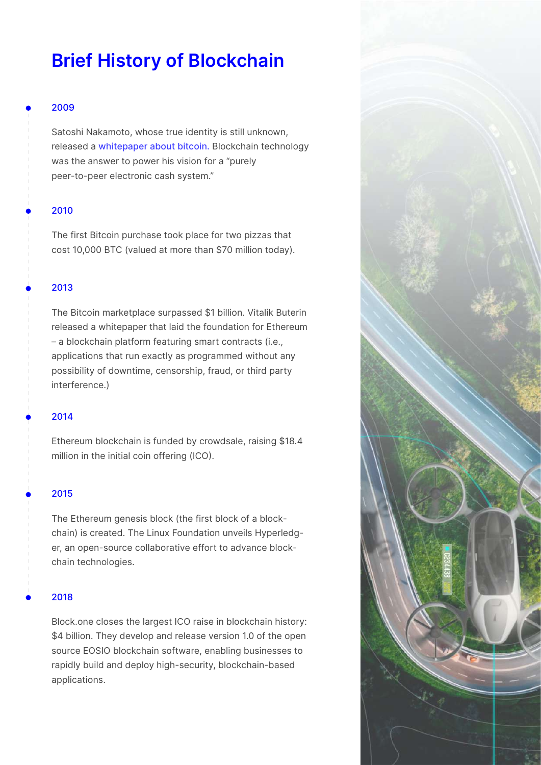### **Brief History of Blockchain**

#### 2009

•

•

•

•

•

•

Satoshi Nakamoto, whose true identity is still unknown, released a [whitepaper about bitcoin.](https://bitcoin.org/bitcoin.pdf) Blockchain technology was the answer to power his vision for a "purely peer-to-peer electronic cash system."

#### 2010

The first Bitcoin purchase took place for two pizzas that cost 10,000 BTC (valued at more than \$70 million today).

#### 2013

The Bitcoin marketplace surpassed \$1 billion. Vitalik Buterin released a whitepaper that laid the foundation for Ethereum – a blockchain platform featuring smart contracts (i.e., applications that run exactly as programmed without any possibility of downtime, censorship, fraud, or third party interference.)

#### 2014

Ethereum blockchain is funded by crowdsale, raising \$18.4 million in the initial coin offering (ICO).

#### 2015

The Ethereum genesis block (the first block of a blockchain) is created. The Linux Foundation unveils Hyperledger, an open-source collaborative effort to advance blockchain technologies.

#### 2018

Block.one closes the largest ICO raise in blockchain history: \$4 billion. They develop and release version 1.0 of the open source EOSIO blockchain software, enabling businesses to rapidly build and deploy high-security, blockchain-based applications.

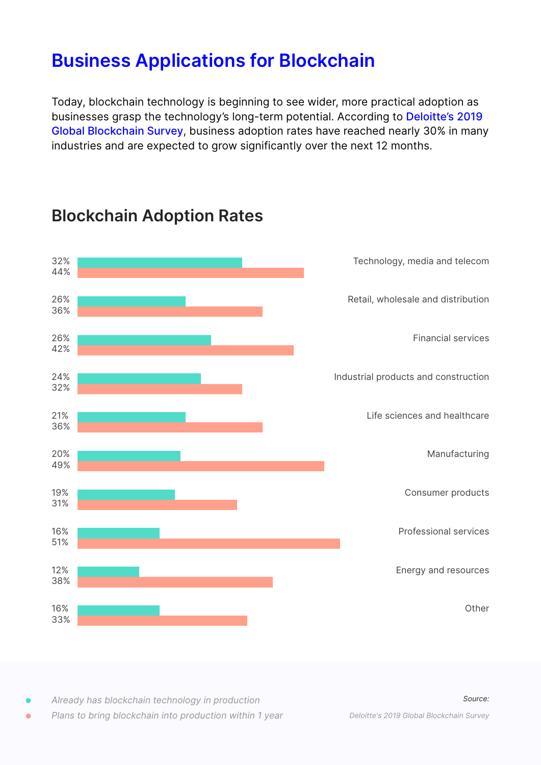### **Business Applications for Blockchain**

Today, blockchain technology is beginning to see wider, more practical adoption as businesses grasp the technology's long-term potential. According to [Deloitte's 2019](https://www2.deloitte.com/us/en/insights/topics/understanding-blockchain-potential/global-blockchain-survey/2019-adoption-by-industry.html) [Global Blockchain Survey](https://www2.deloitte.com/us/en/insights/topics/understanding-blockchain-potential/global-blockchain-survey/2019-adoption-by-industry.html), business adoption rates have reached nearly 30% in many industries and are expected to grow significantly over the next 12 months.



### **Blockchain Adoption Rates**

*Already has blockchain technology in production* •

*Plans to bring blockchain into production within 1 year* •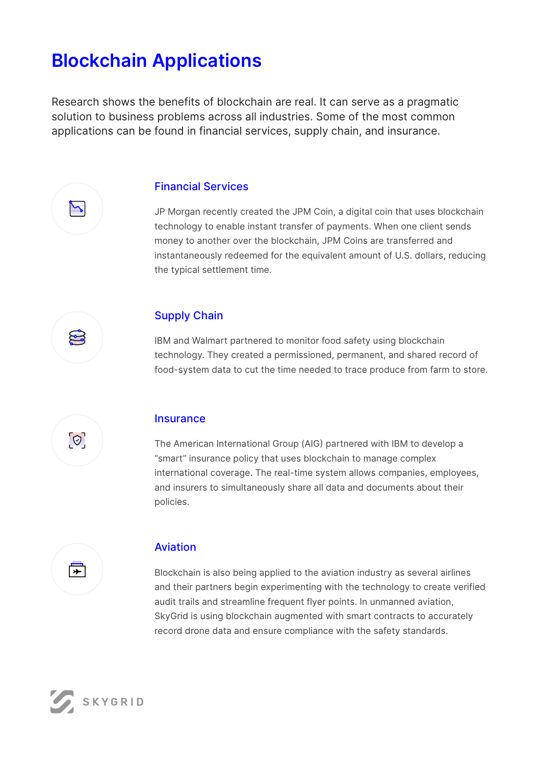### **Blockchain Applications**

Research shows the benefits of blockchain are real. It can serve as a pragmatic solution to business problems across all industries. Some of the most common applications can be found in financial services, supply chain, and insurance.



#### Financial Services

JP Morgan recently created the JPM Coin, a digital coin that uses blockchain technology to enable instant transfer of payments. When one client sends money to another over the blockchain, JPM Coins are transferred and instantaneously redeemed for the equivalent amount of U.S. dollars, reducing the typical settlement time.



#### Supply Chain

IBM and Walmart partnered to monitor food safety using blockchain technology. They created a permissioned, permanent, and shared record of food-system data to cut the time needed to trace produce from farm to store.



#### **Insurance**

The American International Group (AIG) partnered with IBM to develop a "smart" insurance policy that uses blockchain to manage complex international coverage. The real-time system allows companies, employees, and insurers to simultaneously share all data and documents about their policies.



#### Aviation

Blockchain is also being applied to the aviation industry as several airlines and their partners begin experimenting with the technology to create verified audit trails and streamline frequent flyer points. In unmanned aviation, SkyGrid is using blockchain augmented with smart contracts to accurately record drone data and ensure compliance with the safety standards.

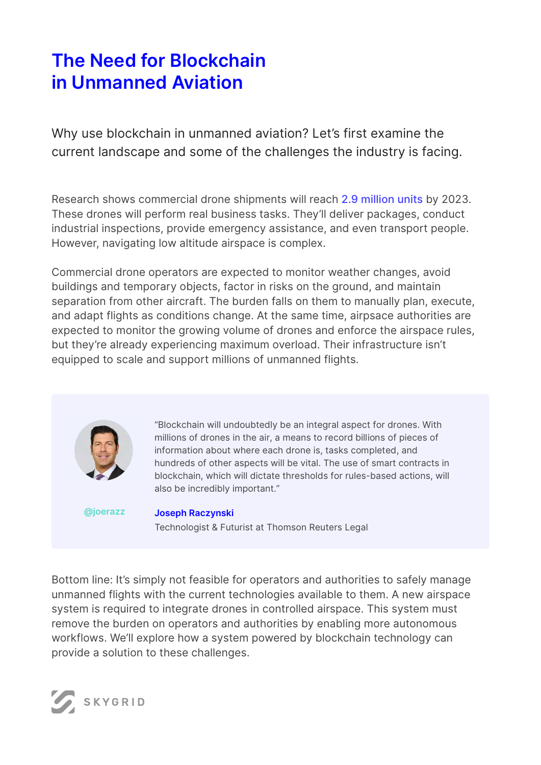## **The Need for Blockchain in Unmanned Aviation**

Why use blockchain in unmanned aviation? Let's first examine the current landscape and some of the challenges the industry is facing.

Research shows commercial drone shipments will reach [2.9 million units](https://www.uasvision.com/2020/04/14/commercial-drone-market-to-hit-2-9m-units-by-2023-says-frost-sullivan/) by 2023. These drones will perform real business tasks. They'll deliver packages, conduct industrial inspections, provide emergency assistance, and even transport people. However, navigating low altitude airspace is complex.

Commercial drone operators are expected to monitor weather changes, avoid buildings and temporary objects, factor in risks on the ground, and maintain separation from other aircraft. The burden falls on them to manually plan, execute, and adapt flights as conditions change. At the same time, airpsace authorities are expected to monitor the growing volume of drones and enforce the airspace rules, but they're already experiencing maximum overload. Their infrastructure isn't equipped to scale and support millions of unmanned flights.



"Blockchain will undoubtedly be an integral aspect for drones. With millions of drones in the air, a means to record billions of pieces of information about where each drone is, tasks completed, and hundreds of other aspects will be vital. The use of smart contracts in blockchain, which will dictate thresholds for rules-based actions, will also be incredibly important."

**[@joerazz](https://twitter.com/joerazz?lang=en)**

**Joseph Raczynski** Technologist & Futurist at Thomson Reuters Legal

Bottom line: It's simply not feasible for operators and authorities to safely manage unmanned flights with the current technologies available to them. A new airspace system is required to integrate drones in controlled airspace. This system must remove the burden on operators and authorities by enabling more autonomous workflows. We'll explore how a system powered by blockchain technology can provide a solution to these challenges.

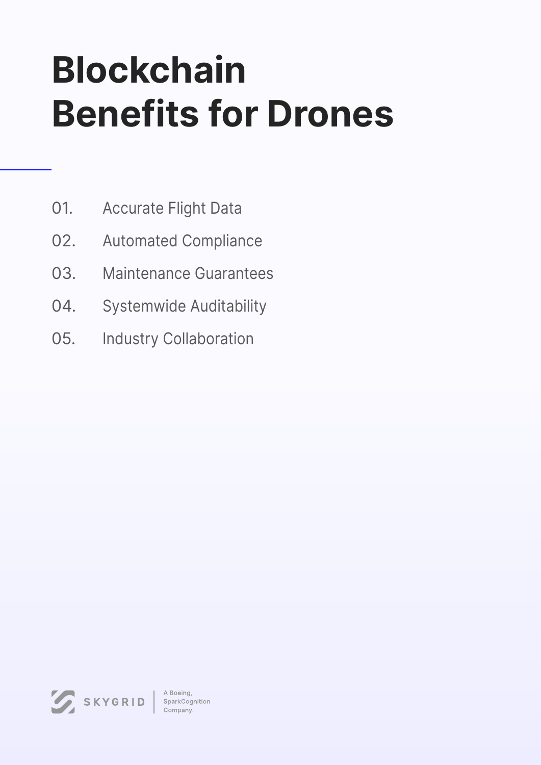# **Blockchain Benefits for Drones**

- Accurate Flight Data 01.
- Automated Compliance 02.
- Maintenance Guarantees 03.
- Systemwide Auditability 04.
- Industry Collaboration 05.

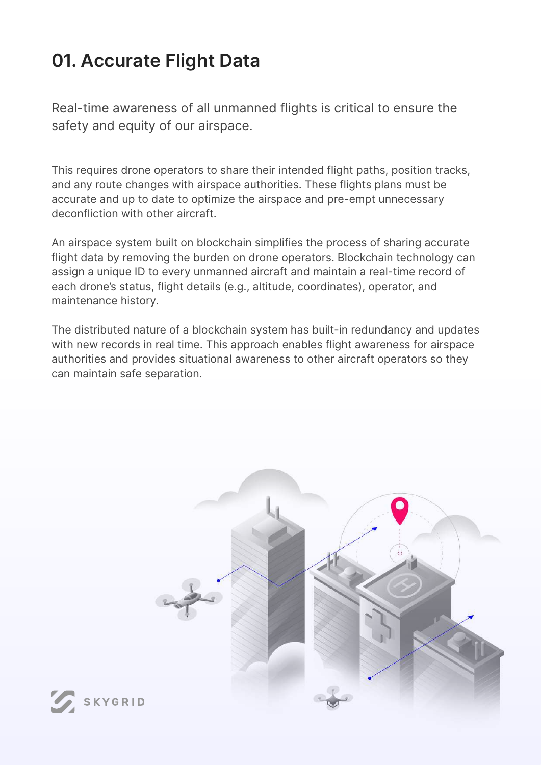# **01. Accurate Flight Data**

Real-time awareness of all unmanned flights is critical to ensure the safety and equity of our airspace.

This requires drone operators to share their intended flight paths, position tracks, and any route changes with airspace authorities. These flights plans must be accurate and up to date to optimize the airspace and pre-empt unnecessary deconfliction with other aircraft.

An airspace system built on blockchain simplifies the process of sharing accurate flight data by removing the burden on drone operators. Blockchain technology can assign a unique ID to every unmanned aircraft and maintain a real-time record of each drone's status, flight details (e.g., altitude, coordinates), operator, and maintenance history.

The distributed nature of a blockchain system has built-in redundancy and updates with new records in real time. This approach enables flight awareness for airspace authorities and provides situational awareness to other aircraft operators so they can maintain safe separation.

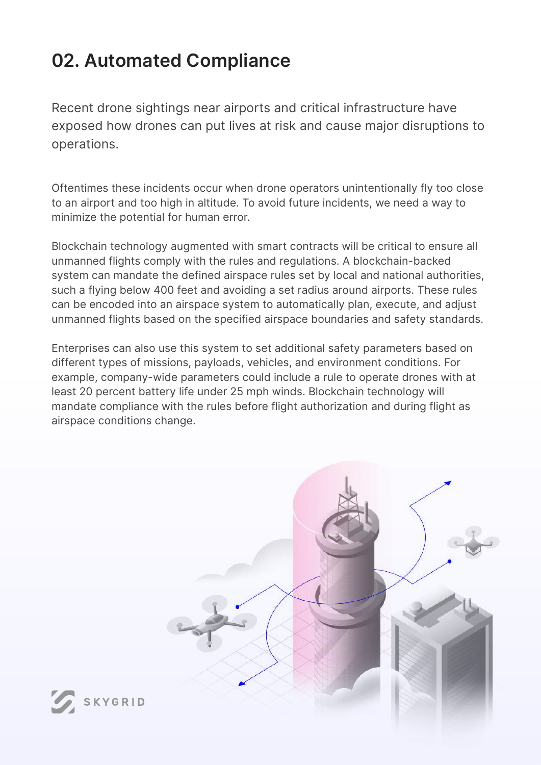# **02. Automated Compliance**

Recent drone sightings near airports and critical infrastructure have exposed how drones can put lives at risk and cause major disruptions to operations.

Oftentimes these incidents occur when drone operators unintentionally fly too close to an airport and too high in altitude. To avoid future incidents, we need a way to minimize the potential for human error.

Blockchain technology augmented with smart contracts will be critical to ensure all unmanned flights comply with the rules and regulations. A blockchain-backed system can mandate the defined airspace rules set by local and national authorities, such a flying below 400 feet and avoiding a set radius around airports. These rules can be encoded into an airspace system to automatically plan, execute, and adjust unmanned flights based on the specified airspace boundaries and safety standards.

Enterprises can also use this system to set additional safety parameters based on different types of missions, payloads, vehicles, and environment conditions. For example, company-wide parameters could include a rule to operate drones with at least 20 percent battery life under 25 mph winds. Blockchain technology will mandate compliance with the rules before flight authorization and during flight as airspace conditions change.

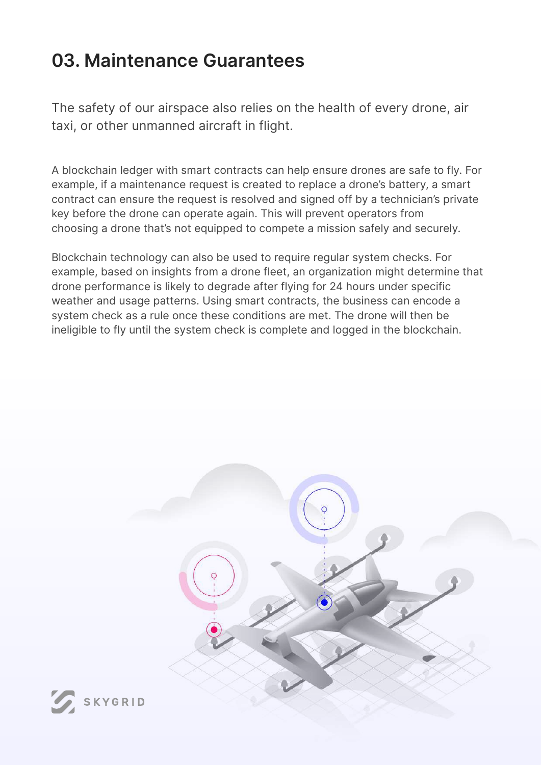## **03. Maintenance Guarantees**

The safety of our airspace also relies on the health of every drone, air taxi, or other unmanned aircraft in flight.

A blockchain ledger with smart contracts can help ensure drones are safe to fly. For example, if a maintenance request is created to replace a drone's battery, a smart contract can ensure the request is resolved and signed off by a technician's private key before the drone can operate again. This will prevent operators from choosing a drone that's not equipped to compete a mission safely and securely.

Blockchain technology can also be used to require regular system checks. For example, based on insights from a drone fleet, an organization might determine that drone performance is likely to degrade after flying for 24 hours under specific weather and usage patterns. Using smart contracts, the business can encode a system check as a rule once these conditions are met. The drone will then be ineligible to fly until the system check is complete and logged in the blockchain.

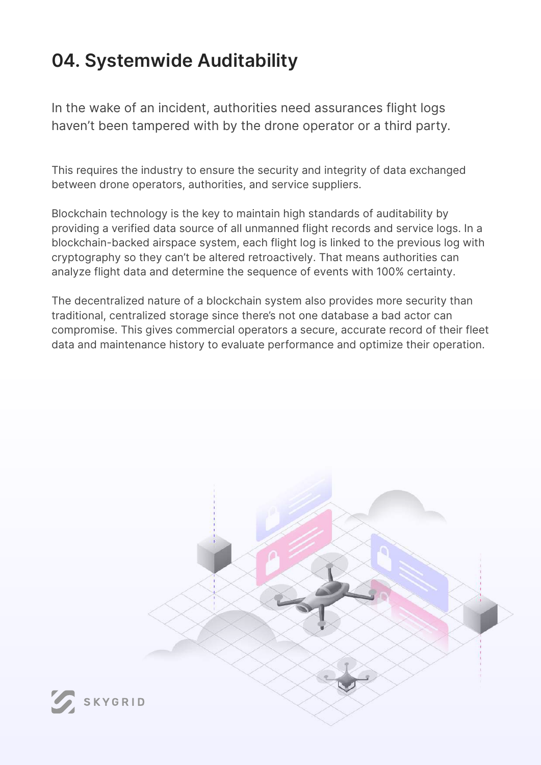# **04. Systemwide Auditability**

In the wake of an incident, authorities need assurances flight logs haven't been tampered with by the drone operator or a third party.

This requires the industry to ensure the security and integrity of data exchanged between drone operators, authorities, and service suppliers.

Blockchain technology is the key to maintain high standards of auditability by providing a verified data source of all unmanned flight records and service logs. In a blockchain-backed airspace system, each flight log is linked to the previous log with cryptography so they can't be altered retroactively. That means authorities can analyze flight data and determine the sequence of events with 100% certainty.

The decentralized nature of a blockchain system also provides more security than traditional, centralized storage since there's not one database a bad actor can compromise. This gives commercial operators a secure, accurate record of their fleet data and maintenance history to evaluate performance and optimize their operation.

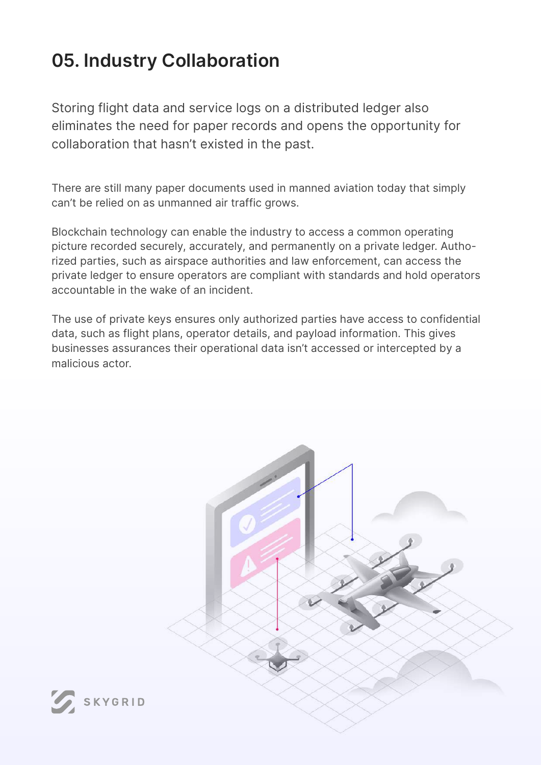# **05. Industry Collaboration**

Storing flight data and service logs on a distributed ledger also eliminates the need for paper records and opens the opportunity for collaboration that hasn't existed in the past.

There are still many paper documents used in manned aviation today that simply can't be relied on as unmanned air traffic grows.

Blockchain technology can enable the industry to access a common operating picture recorded securely, accurately, and permanently on a private ledger. Authorized parties, such as airspace authorities and law enforcement, can access the private ledger to ensure operators are compliant with standards and hold operators accountable in the wake of an incident.

The use of private keys ensures only authorized parties have access to confidential data, such as flight plans, operator details, and payload information. This gives businesses assurances their operational data isn't accessed or intercepted by a malicious actor.

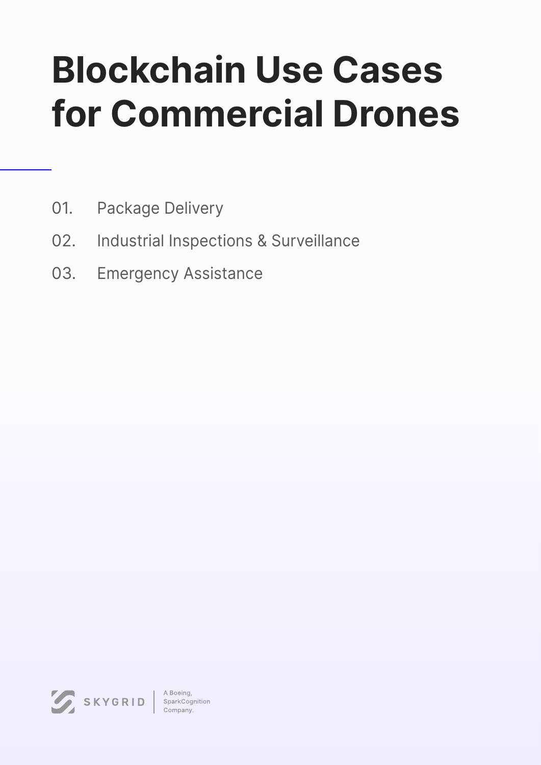# **Blockchain Use Cases for Commercial Drones**

- Package Delivery 01.
- Industrial Inspections & Surveillance 02.
- Emergency Assistance 03.

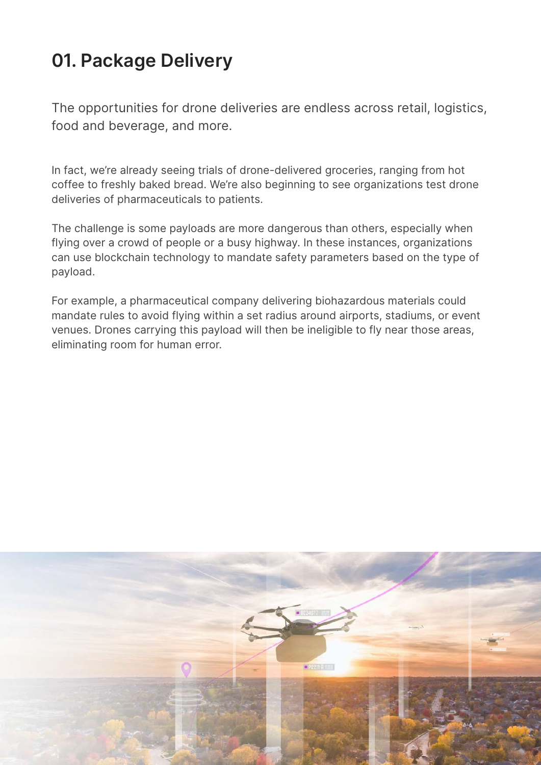# **01. Package Delivery**

The opportunities for drone deliveries are endless across retail, logistics, food and beverage, and more.

In fact, we're already seeing trials of drone-delivered groceries, ranging from hot coffee to freshly baked bread. We're also beginning to see organizations test drone deliveries of pharmaceuticals to patients.

The challenge is some payloads are more dangerous than others, especially when flying over a crowd of people or a busy highway. In these instances, organizations can use blockchain technology to mandate safety parameters based on the type of payload.

For example, a pharmaceutical company delivering biohazardous materials could mandate rules to avoid flying within a set radius around airports, stadiums, or event venues. Drones carrying this payload will then be ineligible to fly near those areas, eliminating room for human error.

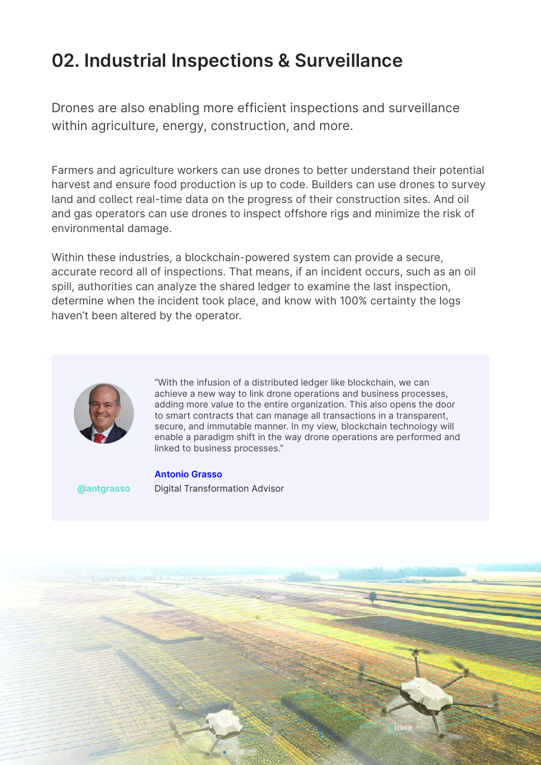## **02. Industrial Inspections & Surveillance**

Drones are also enabling more efficient inspections and surveillance within agriculture, energy, construction, and more.

Farmers and agriculture workers can use drones to better understand their potential harvest and ensure food production is up to code. Builders can use drones to survey land and collect real-time data on the progress of their construction sites. And oil and gas operators can use drones to inspect offshore rigs and minimize the risk of environmental damage.

Within these industries, a blockchain-powered system can provide a secure, accurate record all of inspections. That means, if an incident occurs, such as an oil spill, authorities can analyze the shared ledger to examine the last inspection, determine when the incident took place, and know with 100% certainty the logs haven't been altered by the operator.



"With the infusion of a distributed ledger like blockchain, we can achieve a new way to link drone operations and business processes, adding more value to the entire organization. This also opens the door to smart contracts that can manage all transactions in a transparent, secure, and immutable manner. In my view, blockchain technology will enable a paradigm shift in the way drone operations are performed and linked to business processes."

**Antonio Grasso [@antgrasso](https://twitter.com/antgrasso)** Digital Transformation Advisor

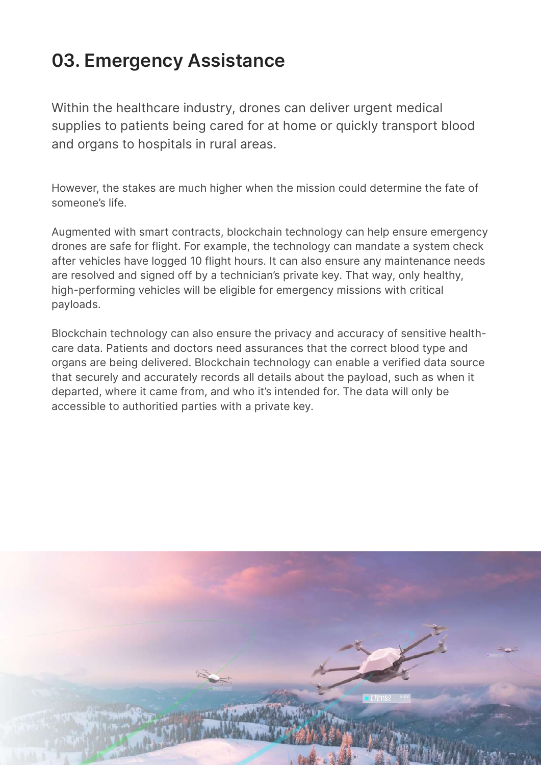# **03. Emergency Assistance**

Within the healthcare industry, drones can deliver urgent medical supplies to patients being cared for at home or quickly transport blood and organs to hospitals in rural areas.

However, the stakes are much higher when the mission could determine the fate of someone's life.

Augmented with smart contracts, blockchain technology can help ensure emergency drones are safe for flight. For example, the technology can mandate a system check after vehicles have logged 10 flight hours. It can also ensure any maintenance needs are resolved and signed off by a technician's private key. That way, only healthy, high-performing vehicles will be eligible for emergency missions with critical payloads.

Blockchain technology can also ensure the privacy and accuracy of sensitive healthcare data. Patients and doctors need assurances that the correct blood type and organs are being delivered. Blockchain technology can enable a verified data source that securely and accurately records all details about the payload, such as when it departed, where it came from, and who it's intended for. The data will only be accessible to authoritied parties with a private key.